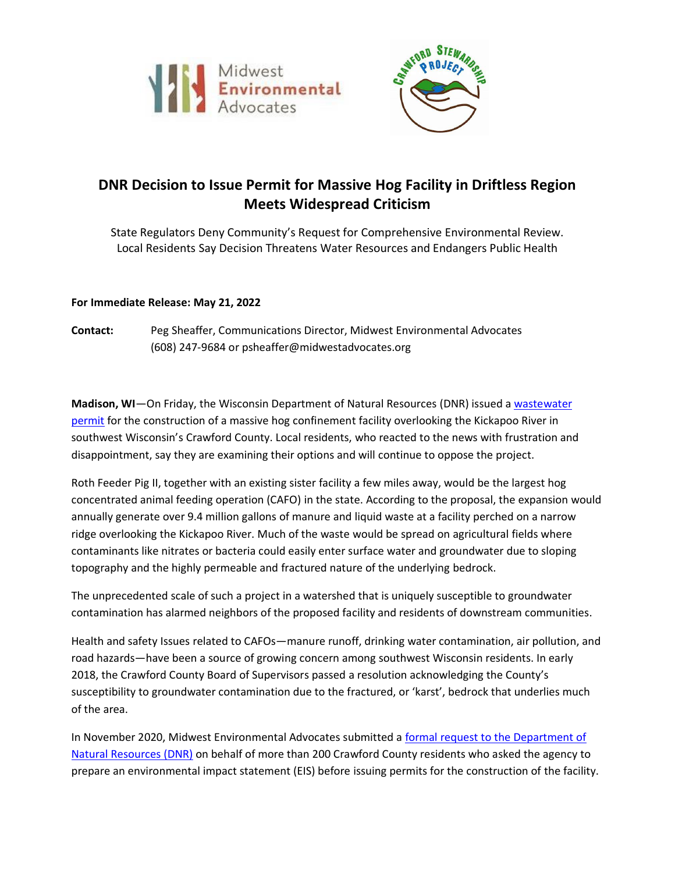



## **DNR Decision to Issue Permit for Massive Hog Facility in Driftless Region Meets Widespread Criticism**

State Regulators Deny Community's Request for Comprehensive Environmental Review. Local Residents Say Decision Threatens Water Resources and Endangers Public Health

## **For Immediate Release: May 21, 2022**

**Contact:** Peg Sheaffer, Communications Director, Midwest Environmental Advocates (608) 247-9684 or psheaffer@midwestadvocates.org

**Madison, WI**—On Friday, the Wisconsin Department of Natural Resources (DNR) issued a [wastewater](https://midwestadvocates.org/assets/news/Roth-Permit-Fact-Sheet.pdf)  [permit](https://midwestadvocates.org/assets/news/Roth-Permit-Fact-Sheet.pdf) for the construction of a massive hog confinement facility overlooking the Kickapoo River in southwest Wisconsin's Crawford County. Local residents, who reacted to the news with frustration and disappointment, say they are examining their options and will continue to oppose the project.

Roth Feeder Pig II, together with an existing sister facility a few miles away, would be the largest hog concentrated animal feeding operation (CAFO) in the state. According to the proposal, the expansion would annually generate over 9.4 million gallons of manure and liquid waste at a facility perched on a narrow ridge overlooking the Kickapoo River. Much of the waste would be spread on agricultural fields where contaminants like nitrates or bacteria could easily enter surface water and groundwater due to sloping topography and the highly permeable and fractured nature of the underlying bedrock.

The unprecedented scale of such a project in a watershed that is uniquely susceptible to groundwater contamination has alarmed neighbors of the proposed facility and residents of downstream communities.

Health and safety Issues related to CAFOs—manure runoff, drinking water contamination, air pollution, and road hazards—have been a source of growing concern among southwest Wisconsin residents. In early 2018, the Crawford County Board of Supervisors passed a resolution acknowledging the County's susceptibility to groundwater contamination due to the fractured, or 'karst', bedrock that underlies much of the area.

In November 2020, Midwest Environmental Advocates submitted a [formal request to the Department of](https://midwestadvocates.org/assets/news/Roth-EIS-Request.pdf)  [Natural Resources \(DNR\)](https://midwestadvocates.org/assets/news/Roth-EIS-Request.pdf) on behalf of more than 200 Crawford County residents who asked the agency to prepare an environmental impact statement (EIS) before issuing permits for the construction of the facility.